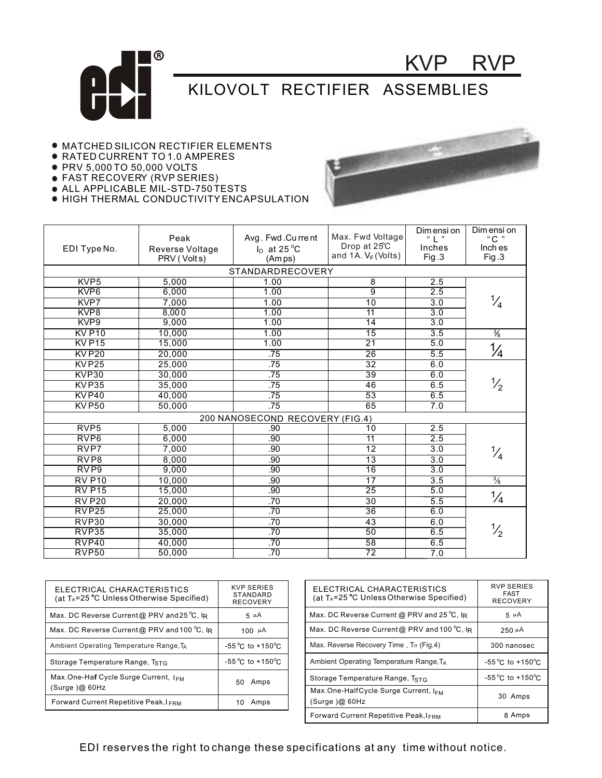

## KILOVOLT RECTIFIER ASSEMBLIES

## MATCHED SILICON RECTIFIER ELEMENTS

- RATED CURRENT TO 1.0 AMPERES
- PRV 5,000 TO 50,000 VOLTS
- FAST RECOVERY (RVP SERIES)
- ALL APPLICABLE MIL-STD-750 TESTS
- HIGH THERMAL CONDUCTIVITY ENCAPSULATION



KVP RVP

|                                 | Peak            | Avg. Fwd.Current | Max. Fwd Voltage                 | Dim ensi on      | Dim ensi on<br>"C " |  |  |  |
|---------------------------------|-----------------|------------------|----------------------------------|------------------|---------------------|--|--|--|
| EDI Type No.                    | Reverse Voltage | $Io$ at 25 °C    | Drop at 25°C                     | Inches           | Inch es             |  |  |  |
|                                 | PRV (Volts)     | (Amps)           | and $1A. V_F$ (Volts)            | Fig.3            | Fig.3               |  |  |  |
|                                 |                 |                  |                                  |                  |                     |  |  |  |
| STANDARDRECOVERY                |                 |                  |                                  |                  |                     |  |  |  |
| KVP <sub>5</sub>                | 5,000           | 1.00             | $\overline{8}$<br>$\overline{9}$ | 2.5              |                     |  |  |  |
| KVP <sub>6</sub>                | 6,000           | 1.00             |                                  | 2.5              |                     |  |  |  |
| KVP7                            | 7,000           | 1.00             | $\overline{10}$                  | 3.0              | $\frac{1}{4}$       |  |  |  |
| KVP8                            | 8,000           | 1.00             | 11                               | $\overline{3.0}$ |                     |  |  |  |
| KVP <sub>9</sub>                | 9,000           | 1.00             | $\overline{14}$                  | 3.0              |                     |  |  |  |
| <b>KV P10</b>                   | 10,000          | 1.00             | $\overline{15}$                  | $\overline{3.5}$ | $\frac{3}{8}$       |  |  |  |
| <b>KVP15</b>                    | 15,000          | 1.00             | $\overline{21}$                  | 5.0              |                     |  |  |  |
| <b>KVP20</b>                    | 20.000          | .75              | 26                               | 5.5              | $\frac{1}{4}$       |  |  |  |
| KVP <sub>25</sub>               | 25,000          | .75              | 32                               | 6.0              |                     |  |  |  |
| KVP30                           | 30,000          | .75              | $\overline{39}$                  | 6.0              |                     |  |  |  |
| KVP35                           | 35,000          | .75              | 46                               | 6.5              | $\frac{1}{2}$       |  |  |  |
| <b>KVP40</b>                    | 40,000          | .75              | 53                               | 6.5              |                     |  |  |  |
| <b>KVP50</b>                    | 50,000          | .75              | 65                               | $\overline{7.0}$ |                     |  |  |  |
| 200 NANOSECOND RECOVERY (FIG.4) |                 |                  |                                  |                  |                     |  |  |  |
| RVP <sub>5</sub>                | 5,000           | .90              | 10                               | 2.5              |                     |  |  |  |
| RVP <sub>6</sub>                | 6,000           | .90              | $\overline{11}$                  | 2.5              |                     |  |  |  |
| RVP7                            | 7,000           | .90              | $\overline{12}$                  | $\overline{3.0}$ | $\frac{1}{4}$       |  |  |  |
| RV <sub>P8</sub>                | 8,000           | .90              | $\overline{13}$                  | $\overline{3.0}$ |                     |  |  |  |
| RV <sub>P9</sub>                | 9,000           | .90              | 16                               | 3.0              |                     |  |  |  |
| <b>RV P10</b>                   | 10,000          | .90              | $\overline{17}$                  | 3.5              | $\frac{3}{8}$       |  |  |  |
| <b>RV P15</b>                   | 15,000          | .90              | $\overline{25}$                  | 5.0              |                     |  |  |  |
| <b>RV P20</b>                   | 20,000          | .70              | $\overline{30}$                  | 5.5              | $\frac{1}{4}$       |  |  |  |
| RVP <sub>25</sub>               | 25,000          | .70              | $\overline{36}$                  | 6.0              |                     |  |  |  |
| RVP30                           | 30,000          | .70              | 43                               | 6.0              |                     |  |  |  |
| RVP35                           | 35,000          | .70              | $\overline{50}$                  | 6.5              | $\frac{1}{2}$       |  |  |  |
| RVP40                           | 40,000          | .70              | 58                               | 6.5              |                     |  |  |  |
| <b>RVP50</b>                    | 50,000          | .70              | $\overline{72}$                  | 7.0              |                     |  |  |  |

| ELECTRICAL CHARACTERISTICS<br>(at T <sub>A</sub> =25 °C Unless Otherwise Specified) | <b>KVP SERIES</b><br><b>STANDARD</b><br><b>RECOVERY</b> |  | <b>ELECTRICAL</b><br>(at $T_A = 25$ °C U |  |
|-------------------------------------------------------------------------------------|---------------------------------------------------------|--|------------------------------------------|--|
| Max. DC Reverse Current@ PRV and 25 °C, IR                                          | $5 \mu A$                                               |  | Max. DC Revers                           |  |
| Max. DC Reverse Current@ PRV and 100 °C, IR                                         | 100 $\mu$ A                                             |  | Max. DC Revers                           |  |
| Ambient Operating Temperature Range, TA                                             | $-55^{\circ}$ C to $+150^{\circ}$ C                     |  | Max. Reverse Re                          |  |
| Storage Temperature Range, TstG                                                     | $-55^{\circ}$ C to $+150^{\circ}$ C                     |  | <b>Ambient Operatir</b>                  |  |
| Max.One-Half Cycle Surge Current, I <sub>FM</sub>                                   | Amps<br>50                                              |  | Storage Temper                           |  |
| (Surge)@60Hz                                                                        |                                                         |  | Max.One-HalfC                            |  |
| <b>Forward Current Repetitive Peak, I FRM</b>                                       | Amps<br>10                                              |  | (Surge)@ 60Hz                            |  |
|                                                                                     |                                                         |  |                                          |  |

| ELECTRICAL CHARACTERISTICS<br>(at T <sub>A</sub> =25 °C Unless Otherwise Specified) | <b>RVP SERIES</b><br><b>FAST</b><br><b>RECOVERY</b> |
|-------------------------------------------------------------------------------------|-----------------------------------------------------|
| Max. DC Reverse Current @ PRV and 25 °C, IR                                         | $5 \mu A$                                           |
| Max. DC Reverse Current@ PRV and 100 °C, IR                                         | $250 \mu A$                                         |
| Max. Reverse Recovery Time, Trr (Fig.4)                                             | 300 nanosec                                         |
| Ambient Operating Temperature Range, T <sub>A</sub>                                 | $-55^{\circ}$ C to $+150^{\circ}$ C                 |
| Storage Temperature Range, TstG                                                     | $-55^{\circ}$ C to $+150^{\circ}$ C                 |
| Max.One-HalfCycle Surge Current, IFM<br>(Surge)@60Hz                                | 30 Amps                                             |
| Forward Current Repetitive Peak, IFRM                                               | 8 Amps                                              |

EDI reserves the right to change these specifications at any time without notice.